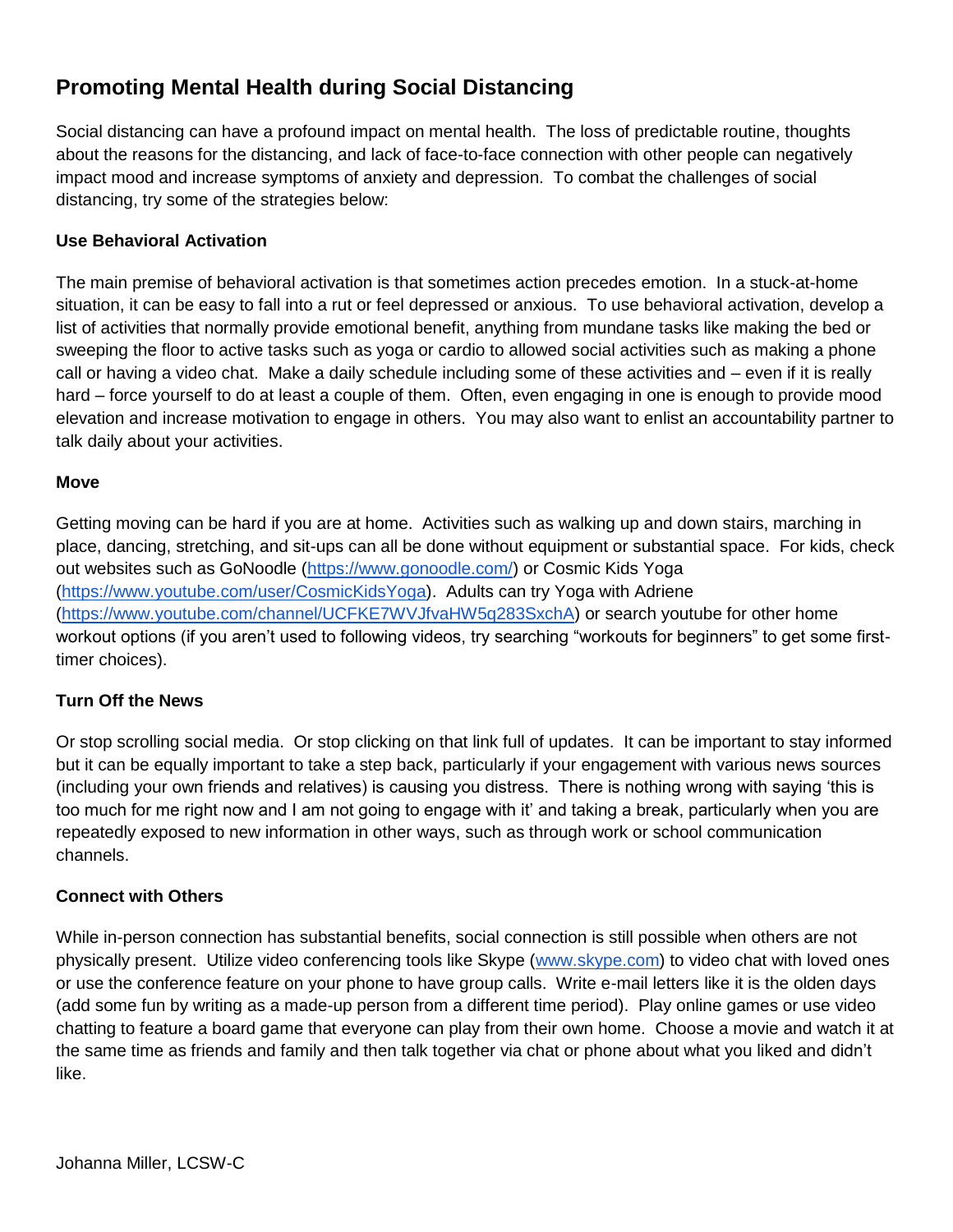# **Promoting Mental Health during Social Distancing**

Social distancing can have a profound impact on mental health. The loss of predictable routine, thoughts about the reasons for the distancing, and lack of face-to-face connection with other people can negatively impact mood and increase symptoms of anxiety and depression. To combat the challenges of social distancing, try some of the strategies below:

## **Use Behavioral Activation**

The main premise of behavioral activation is that sometimes action precedes emotion. In a stuck-at-home situation, it can be easy to fall into a rut or feel depressed or anxious. To use behavioral activation, develop a list of activities that normally provide emotional benefit, anything from mundane tasks like making the bed or sweeping the floor to active tasks such as yoga or cardio to allowed social activities such as making a phone call or having a video chat. Make a daily schedule including some of these activities and – even if it is really hard – force yourself to do at least a couple of them. Often, even engaging in one is enough to provide mood elevation and increase motivation to engage in others. You may also want to enlist an accountability partner to talk daily about your activities.

## **Move**

Getting moving can be hard if you are at home. Activities such as walking up and down stairs, marching in place, dancing, stretching, and sit-ups can all be done without equipment or substantial space. For kids, check out websites such as GoNoodle [\(https://www.gonoodle.com/\)](https://www.gonoodle.com/) or Cosmic Kids Yoga [\(https://www.youtube.com/user/CosmicKidsYoga\)](https://www.youtube.com/user/CosmicKidsYoga). Adults can try Yoga with Adriene [\(https://www.youtube.com/channel/UCFKE7WVJfvaHW5q283SxchA\)](https://www.youtube.com/channel/UCFKE7WVJfvaHW5q283SxchA) or search youtube for other home workout options (if you aren't used to following videos, try searching "workouts for beginners" to get some firsttimer choices).

## **Turn Off the News**

Or stop scrolling social media. Or stop clicking on that link full of updates. It can be important to stay informed but it can be equally important to take a step back, particularly if your engagement with various news sources (including your own friends and relatives) is causing you distress. There is nothing wrong with saying 'this is too much for me right now and I am not going to engage with it' and taking a break, particularly when you are repeatedly exposed to new information in other ways, such as through work or school communication channels.

## **Connect with Others**

While in-person connection has substantial benefits, social connection is still possible when others are not physically present. Utilize video conferencing tools like Skype [\(www.skype.com\)](http://www.skype.com/) to video chat with loved ones or use the conference feature on your phone to have group calls. Write e-mail letters like it is the olden days (add some fun by writing as a made-up person from a different time period). Play online games or use video chatting to feature a board game that everyone can play from their own home. Choose a movie and watch it at the same time as friends and family and then talk together via chat or phone about what you liked and didn't like.